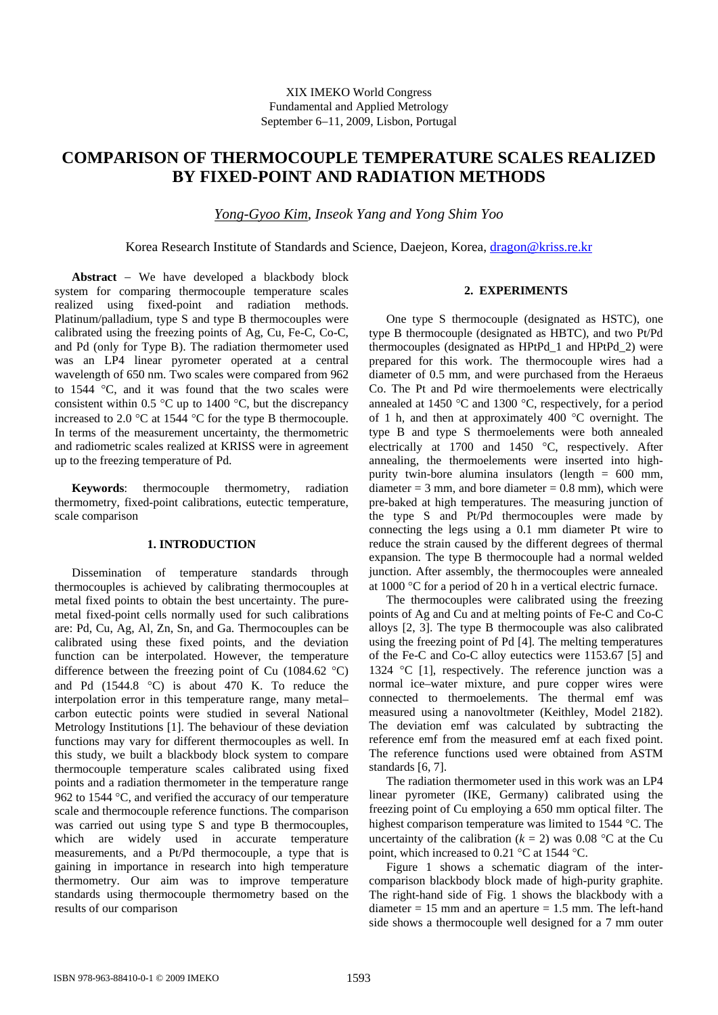# **COMPARISON OF THERMOCOUPLE TEMPERATURE SCALES REALIZED BY FIXED-POINT AND RADIATION METHODS**

*Yong-Gyoo Kim, Inseok Yang and Yong Shim Yoo* 

Korea Research Institute of Standards and Science, Daejeon, Korea, [dragon@kriss.re.kr](mailto:dragon@kriss.re.kr)

**Abstract** − We have developed a blackbody block system for comparing thermocouple temperature scales realized using fixed-point and radiation methods. Platinum/palladium, type S and type B thermocouples were calibrated using the freezing points of Ag, Cu, Fe-C, Co-C, and Pd (only for Type B). The radiation thermometer used was an LP4 linear pyrometer operated at a central wavelength of 650 nm. Two scales were compared from 962 to 1544 °C, and it was found that the two scales were consistent within 0.5  $\degree$ C up to 1400  $\degree$ C, but the discrepancy increased to 2.0 °C at 1544 °C for the type B thermocouple. In terms of the measurement uncertainty, the thermometric and radiometric scales realized at KRISS were in agreement up to the freezing temperature of Pd.

**Keywords**: thermocouple thermometry, radiation thermometry, fixed-point calibrations, eutectic temperature, scale comparison

#### **1. INTRODUCTION**

Dissemination of temperature standards through thermocouples is achieved by calibrating thermocouples at metal fixed points to obtain the best uncertainty. The puremetal fixed-point cells normally used for such calibrations are: Pd, Cu, Ag, Al, Zn, Sn, and Ga. Thermocouples can be calibrated using these fixed points, and the deviation function can be interpolated. However, the temperature difference between the freezing point of Cu (1084.62 °C) and Pd (1544.8 °C) is about 470 K. To reduce the interpolation error in this temperature range, many metal– carbon eutectic points were studied in several National Metrology Institutions [1]. The behaviour of these deviation functions may vary for different thermocouples as well. In this study, we built a blackbody block system to compare thermocouple temperature scales calibrated using fixed points and a radiation thermometer in the temperature range 962 to 1544 °C, and verified the accuracy of our temperature scale and thermocouple reference functions. The comparison was carried out using type S and type B thermocouples, which are widely used in accurate temperature measurements, and a Pt/Pd thermocouple, a type that is gaining in importance in research into high temperature thermometry. Our aim was to improve temperature standards using thermocouple thermometry based on the results of our comparison

## **2. EXPERIMENTS**

One type S thermocouple (designated as HSTC), one type B thermocouple (designated as HBTC), and two Pt/Pd thermocouples (designated as HPtPd\_1 and HPtPd\_2) were prepared for this work. The thermocouple wires had a diameter of 0.5 mm, and were purchased from the Heraeus Co. The Pt and Pd wire thermoelements were electrically annealed at 1450 °C and 1300 °C, respectively, for a period of 1 h, and then at approximately 400 °C overnight. The type B and type S thermoelements were both annealed electrically at 1700 and 1450 °C, respectively. After annealing, the thermoelements were inserted into highpurity twin-bore alumina insulators (length = 600 mm, diameter =  $3$  mm, and bore diameter =  $0.8$  mm), which were pre-baked at high temperatures. The measuring junction of the type S and Pt/Pd thermocouples were made by connecting the legs using a 0.1 mm diameter Pt wire to reduce the strain caused by the different degrees of thermal expansion. The type B thermocouple had a normal welded junction. After assembly, the thermocouples were annealed at 1000 °C for a period of 20 h in a vertical electric furnace.

The thermocouples were calibrated using the freezing points of Ag and Cu and at melting points of Fe-C and Co-C alloys [2, 3]. The type B thermocouple was also calibrated using the freezing point of Pd [4]. The melting temperatures of the Fe-C and Co-C alloy eutectics were 1153.67 [5] and 1324 °C [1], respectively. The reference junction was a normal ice–water mixture, and pure copper wires were connected to thermoelements. The thermal emf was measured using a nanovoltmeter (Keithley, Model 2182). The deviation emf was calculated by subtracting the reference emf from the measured emf at each fixed point. The reference functions used were obtained from ASTM standards [6, 7].

The radiation thermometer used in this work was an LP4 linear pyrometer (IKE, Germany) calibrated using the freezing point of Cu employing a 650 mm optical filter. The highest comparison temperature was limited to 1544 °C. The uncertainty of the calibration  $(k = 2)$  was 0.08 °C at the Cu point, which increased to 0.21 °C at 1544 °C.

Figure 1 shows a schematic diagram of the intercomparison blackbody block made of high-purity graphite. The right-hand side of Fig. 1 shows the blackbody with a diameter  $= 15$  mm and an aperture  $= 1.5$  mm. The left-hand side shows a thermocouple well designed for a 7 mm outer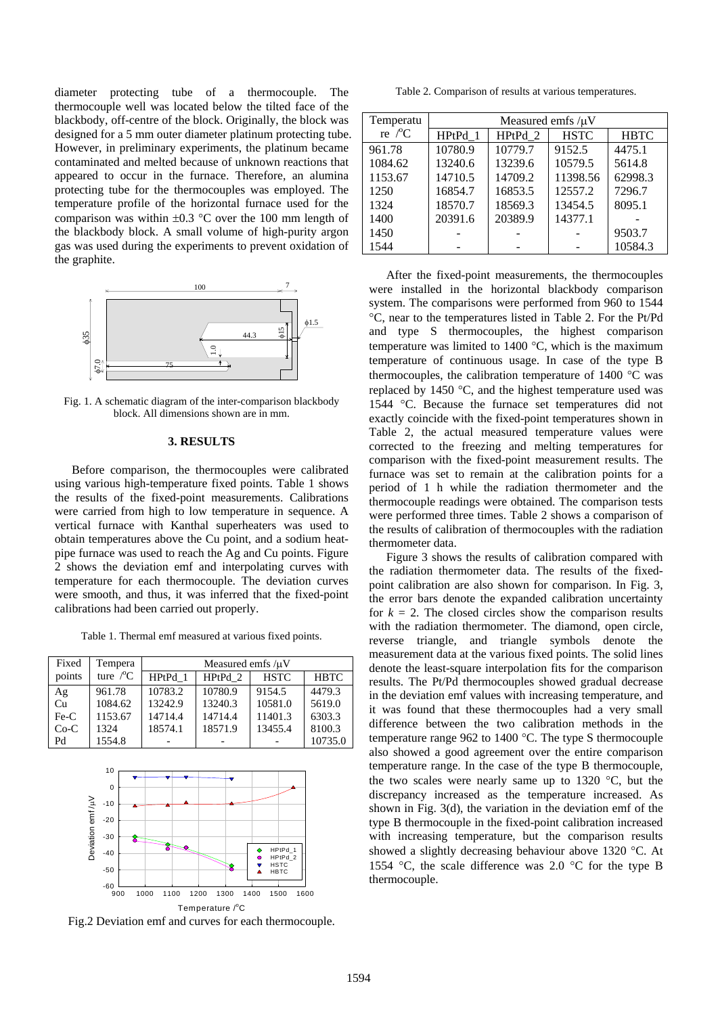diameter protecting tube of a thermocouple. The thermocouple well was located below the tilted face of the blackbody, off-centre of the block. Originally, the block was designed for a 5 mm outer diameter platinum protecting tube. However, in preliminary experiments, the platinum became contaminated and melted because of unknown reactions that appeared to occur in the furnace. Therefore, an alumina protecting tube for the thermocouples was employed. The temperature profile of the horizontal furnace used for the comparison was within  $\pm 0.3$  °C over the 100 mm length of the blackbody block. A small volume of high-purity argon gas was used during the experiments to prevent oxidation of the graphite.



Fig. 1. A schematic diagram of the inter-comparison blackbody block. All dimensions shown are in mm.

### **3. RESULTS**

Before comparison, the thermocouples were calibrated using various high-temperature fixed points. Table 1 shows the results of the fixed-point measurements. Calibrations were carried from high to low temperature in sequence. A vertical furnace with Kanthal superheaters was used to obtain temperatures above the Cu point, and a sodium heatpipe furnace was used to reach the Ag and Cu points. Figure 2 shows the deviation emf and interpolating curves with temperature for each thermocouple. The deviation curves were smooth, and thus, it was inferred that the fixed-point calibrations had been carried out properly.

Table 1. Thermal emf measured at various fixed points.

| Fixed  | Tempera            | Measured emfs/uV |         |             |             |
|--------|--------------------|------------------|---------|-------------|-------------|
| points | ture $\mathcal{C}$ | HPtPd 1          | HPtPd 2 | <b>HSTC</b> | <b>HBTC</b> |
| Ag     | 961.78             | 10783.2          | 10780.9 | 9154.5      | 4479.3      |
| Cu     | 1084.62            | 13242.9          | 13240.3 | 10581.0     | 5619.0      |
| $Fe-C$ | 1153.67            | 14714.4          | 14714.4 | 11401.3     | 6303.3      |
| $Co-C$ | 1324               | 18574.1          | 18571.9 | 13455.4     | 8100.3      |
| Pd     | 1554.8             |                  |         |             | 10735.0     |



Fig.2 Deviation emf and curves for each thermocouple.

Table 2. Comparison of results at various temperatures.

| Temperatu        | Measured emfs $/\mu$ V |         |             |             |  |
|------------------|------------------------|---------|-------------|-------------|--|
|                  |                        |         |             |             |  |
| re $\mathcal{C}$ | HPtPd 1                | HPtPd 2 | <b>HSTC</b> | <b>HBTC</b> |  |
| 961.78           | 10780.9                | 10779.7 | 9152.5      | 4475.1      |  |
| 1084.62          | 13240.6                | 13239.6 | 10579.5     | 5614.8      |  |
| 1153.67          | 14710.5                | 14709.2 | 11398.56    | 62998.3     |  |
| 1250             | 16854.7                | 16853.5 | 12557.2     | 7296.7      |  |
| 1324             | 18570.7                | 18569.3 | 13454.5     | 8095.1      |  |
| 1400             | 20391.6                | 20389.9 | 14377.1     |             |  |
| 1450             |                        |         |             | 9503.7      |  |
| 1544             |                        |         |             | 10584.3     |  |

After the fixed-point measurements, the thermocouples were installed in the horizontal blackbody comparison system. The comparisons were performed from 960 to 1544 °C, near to the temperatures listed in Table 2. For the Pt/Pd and type S thermocouples, the highest comparison temperature was limited to 1400 °C, which is the maximum temperature of continuous usage. In case of the type B thermocouples, the calibration temperature of 1400 °C was replaced by 1450 °C, and the highest temperature used was 1544 °C. Because the furnace set temperatures did not exactly coincide with the fixed-point temperatures shown in Table 2, the actual measured temperature values were corrected to the freezing and melting temperatures for comparison with the fixed-point measurement results. The furnace was set to remain at the calibration points for a period of 1 h while the radiation thermometer and the thermocouple readings were obtained. The comparison tests were performed three times. Table 2 shows a comparison of the results of calibration of thermocouples with the radiation thermometer data.

Figure 3 shows the results of calibration compared with the radiation thermometer data. The results of the fixedpoint calibration are also shown for comparison. In Fig. 3, the error bars denote the expanded calibration uncertainty for  $k = 2$ . The closed circles show the comparison results with the radiation thermometer. The diamond, open circle, reverse triangle, and triangle symbols denote the measurement data at the various fixed points. The solid lines denote the least-square interpolation fits for the comparison results. The Pt/Pd thermocouples showed gradual decrease in the deviation emf values with increasing temperature, and it was found that these thermocouples had a very small difference between the two calibration methods in the temperature range 962 to 1400 °C. The type S thermocouple also showed a good agreement over the entire comparison temperature range. In the case of the type B thermocouple, the two scales were nearly same up to 1320 °C, but the discrepancy increased as the temperature increased. As shown in Fig. 3(d), the variation in the deviation emf of the type B thermocouple in the fixed-point calibration increased with increasing temperature, but the comparison results showed a slightly decreasing behaviour above 1320 °C. At 1554 °C, the scale difference was 2.0 °C for the type B thermocouple.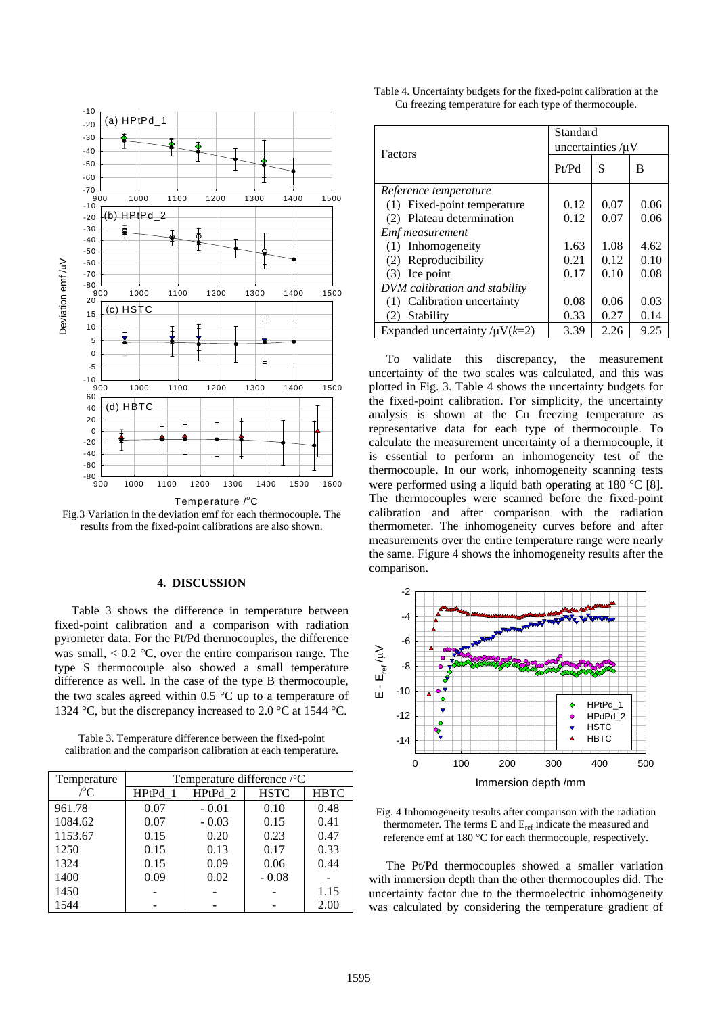

Fig.3 Variation in the deviation emf for each thermocouple. The results from the fixed-point calibrations are also shown.

### **4. DISCUSSION**

Table 3 shows the difference in temperature between fixed-point calibration and a comparison with radiation pyrometer data. For the Pt/Pd thermocouples, the difference was small,  $< 0.2$  °C, over the entire comparison range. The type S thermocouple also showed a small temperature difference as well. In the case of the type B thermocouple, the two scales agreed within 0.5  $\degree$ C up to a temperature of 1324 °C, but the discrepancy increased to 2.0 °C at 1544 °C.

Table 3. Temperature difference between the fixed-point calibration and the comparison calibration at each temperature.

| Temperature   | Temperature difference /°C |         |             |             |
|---------------|----------------------------|---------|-------------|-------------|
| $\mathcal{C}$ | HPtPd 1                    | HPtPd 2 | <b>HSTC</b> | <b>HBTC</b> |
| 961.78        | 0.07                       | $-0.01$ | 0.10        | 0.48        |
| 1084.62       | 0.07                       | $-0.03$ | 0.15        | 0.41        |
| 1153.67       | 0.15                       | 0.20    | 0.23        | 0.47        |
| 1250          | 0.15                       | 0.13    | 0.17        | 0.33        |
| 1324          | 0.15                       | 0.09    | 0.06        | 0.44        |
| 1400          | 0.09                       | 0.02    | $-0.08$     |             |
| 1450          |                            |         |             | 1.15        |
| 1544          |                            |         |             | 2.00        |

| Table 4. Uncertainty budgets for the fixed-point calibration at the |
|---------------------------------------------------------------------|
| Cu freezing temperature for each type of thermocouple.              |

| Factors                                 | Standard<br>uncertainties $\mu$ V |      |      |  |
|-----------------------------------------|-----------------------------------|------|------|--|
|                                         | Pt/Pd                             | S    | в    |  |
| Reference temperature                   |                                   |      |      |  |
| Fixed-point temperature<br>(1)          | 0.12                              | 0.07 | 0.06 |  |
| Plateau determination<br>(2)            | 0.12                              | 0.07 | 0.06 |  |
| Emf measurement                         |                                   |      |      |  |
| (1) Inhomogeneity                       | 1.63                              | 1.08 | 4.62 |  |
| Reproducibility<br>(2)                  | 0.21                              | 0.12 | 0.10 |  |
| $(3)$ Ice point                         | 0.17                              | 0.10 | 0.08 |  |
| DVM calibration and stability           |                                   |      |      |  |
| Calibration uncertainty<br>(1)          | 0.08                              | 0.06 | 0.03 |  |
| Stability<br>(2)                        | 0.33                              | 0.27 | 0.14 |  |
| Expanded uncertainty / $\mu$ V( $k=2$ ) | 3.39                              | 2.26 | 9.25 |  |

To validate this discrepancy, the measurement uncertainty of the two scales was calculated, and this was plotted in Fig. 3. Table 4 shows the uncertainty budgets for the fixed-point calibration. For simplicity, the uncertainty analysis is shown at the Cu freezing temperature as representative data for each type of thermocouple. To calculate the measurement uncertainty of a thermocouple, it is essential to perform an inhomogeneity test of the thermocouple. In our work, inhomogeneity scanning tests were performed using a liquid bath operating at 180 °C [8]. The thermocouples were scanned before the fixed-point calibration and after comparison with the radiation thermometer. The inhomogeneity curves before and after measurements over the entire temperature range were nearly the same. Figure 4 shows the inhomogeneity results after the comparison.



Fig. 4 Inhomogeneity results after comparison with the radiation thermometer. The terms  $E$  and  $E_{ref}$  indicate the measured and reference emf at 180 °C for each thermocouple, respectively.

The Pt/Pd thermocouples showed a smaller variation wit h immersion depth than the other thermocouples did. The uncertainty factor due to the thermoelectric inhomogeneity was calculated by considering the temperature gradient of